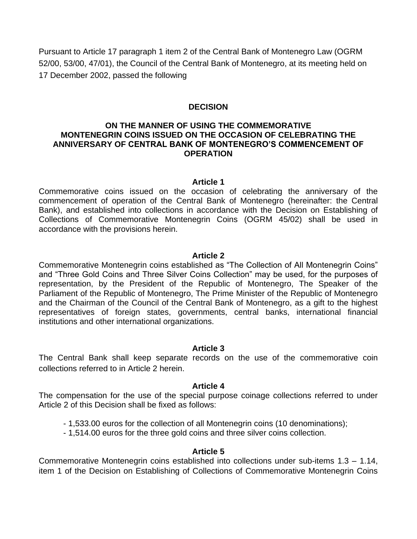Pursuant to Article 17 paragraph 1 item 2 of the Central Bank of Montenegro Law (OGRM 52/00, 53/00, 47/01), the Council of the Central Bank of Montenegro, at its meeting held on 17 December 2002, passed the following

## **DECISION**

# **ON THE MANNER OF USING THE COMMEMORATIVE MONTENEGRIN COINS ISSUED ON THE OCCASION OF CELEBRATING THE ANNIVERSARY OF CENTRAL BANK OF MONTENEGRO'S COMMENCEMENT OF OPERATION**

#### **Article 1**

Commemorative coins issued on the occasion of celebrating the anniversary of the commencement of operation of the Central Bank of Montenegro (hereinafter: the Central Bank), and established into collections in accordance with the Decision on Establishing of Collections of Commemorative Montenegrin Coins (OGRM 45/02) shall be used in accordance with the provisions herein.

#### **Article 2**

Commemorative Montenegrin coins established as "The Collection of All Montenegrin Coins" and "Three Gold Coins and Three Silver Coins Collection" may be used, for the purposes of representation, by the President of the Republic of Montenegro, The Speaker of the Parliament of the Republic of Montenegro, The Prime Minister of the Republic of Montenegro and the Chairman of the Council of the Central Bank of Montenegro, as a gift to the highest representatives of foreign states, governments, central banks, international financial institutions and other international organizations.

### **Article 3**

The Central Bank shall keep separate records on the use of the commemorative coin collections referred to in Article 2 herein.

### **Article 4**

The compensation for the use of the special purpose coinage collections referred to under Article 2 of this Decision shall be fixed as follows:

- 1,533.00 euros for the collection of all Montenegrin coins (10 denominations);
- 1,514.00 euros for the three gold coins and three silver coins collection.

### **Article 5**

Commemorative Montenegrin coins established into collections under sub-items 1.3 – 1.14, item 1 of the Decision on Establishing of Collections of Commemorative Montenegrin Coins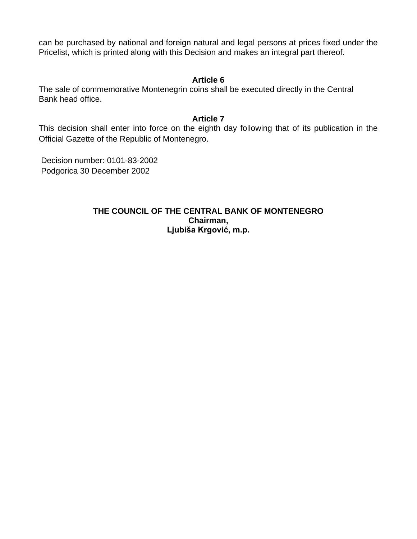can be purchased by national and foreign natural and legal persons at prices fixed under the Pricelist, which is printed along with this Decision and makes an integral part thereof.

## **Article 6**

The sale of commemorative Montenegrin coins shall be executed directly in the Central Bank head office.

## **Article 7**

This decision shall enter into force on the eighth day following that of its publication in the Official Gazette of the Republic of Montenegro.

Decision number: 0101-83-2002 Podgorica 30 December 2002

> **THE COUNCIL OF THE CENTRAL BANK OF MONTENEGRO Chairman, Ljubiša Krgović, m.p.**